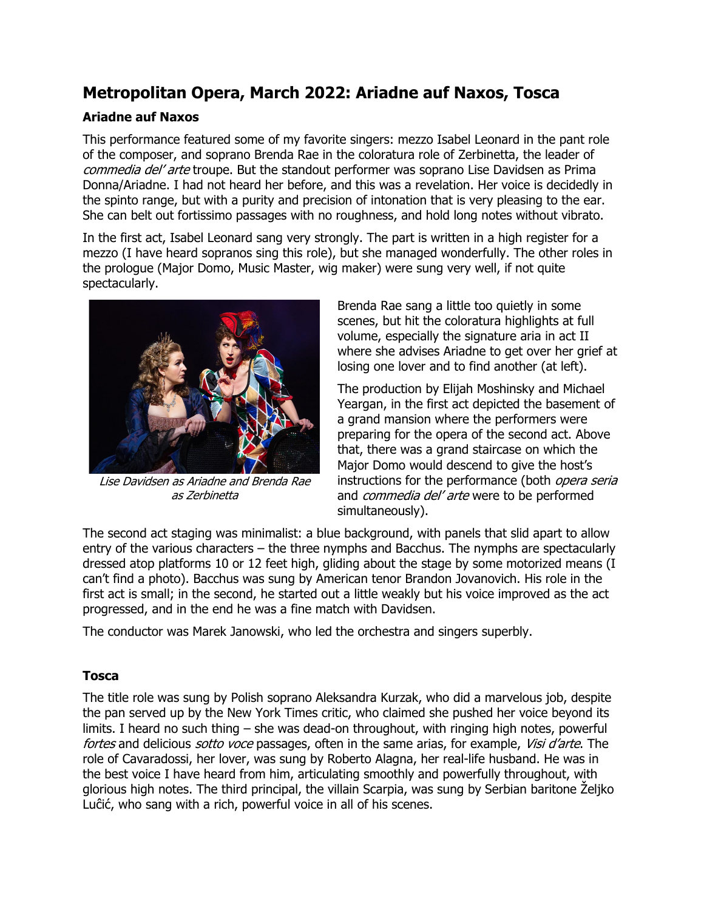## **Metropolitan Opera, March 2022: Ariadne auf Naxos, Tosca**

## **Ariadne auf Naxos**

This performance featured some of my favorite singers: mezzo Isabel Leonard in the pant role of the composer, and soprano Brenda Rae in the coloratura role of Zerbinetta, the leader of commedia del' arte troupe. But the standout performer was soprano Lise Davidsen as Prima Donna/Ariadne. I had not heard her before, and this was a revelation. Her voice is decidedly in the spinto range, but with a purity and precision of intonation that is very pleasing to the ear. She can belt out fortissimo passages with no roughness, and hold long notes without vibrato.

In the first act, Isabel Leonard sang very strongly. The part is written in a high register for a mezzo (I have heard sopranos sing this role), but she managed wonderfully. The other roles in the prologue (Major Domo, Music Master, wig maker) were sung very well, if not quite spectacularly.



Lise Davidsen as Ariadne and Brenda Rae as Zerbinetta

Brenda Rae sang a little too quietly in some scenes, but hit the coloratura highlights at full volume, especially the signature aria in act II where she advises Ariadne to get over her grief at losing one lover and to find another (at left).

The production by Elijah Moshinsky and Michael Yeargan, in the first act depicted the basement of a grand mansion where the performers were preparing for the opera of the second act. Above that, there was a grand staircase on which the Major Domo would descend to give the host's instructions for the performance (both opera seria and *commedia del' arte* were to be performed simultaneously).

The second act staging was minimalist: a blue background, with panels that slid apart to allow entry of the various characters – the three nymphs and Bacchus. The nymphs are spectacularly dressed atop platforms 10 or 12 feet high, gliding about the stage by some motorized means (I can't find a photo). Bacchus was sung by American tenor Brandon Jovanovich. His role in the first act is small; in the second, he started out a little weakly but his voice improved as the act progressed, and in the end he was a fine match with Davidsen.

The conductor was Marek Janowski, who led the orchestra and singers superbly.

## **Tosca**

The title role was sung by Polish soprano Aleksandra Kurzak, who did a marvelous job, despite the pan served up by the New York Times critic, who claimed she pushed her voice beyond its limits. I heard no such thing – she was dead-on throughout, with ringing high notes, powerful fortes and delicious *sotto voce* passages, often in the same arias, for example, *Visi d'arte*. The role of Cavaradossi, her lover, was sung by Roberto Alagna, her real-life husband. He was in the best voice I have heard from him, articulating smoothly and powerfully throughout, with glorious high notes. The third principal, the villain Scarpia, was sung by Serbian baritone Željko Luĉić, who sang with a rich, powerful voice in all of his scenes.